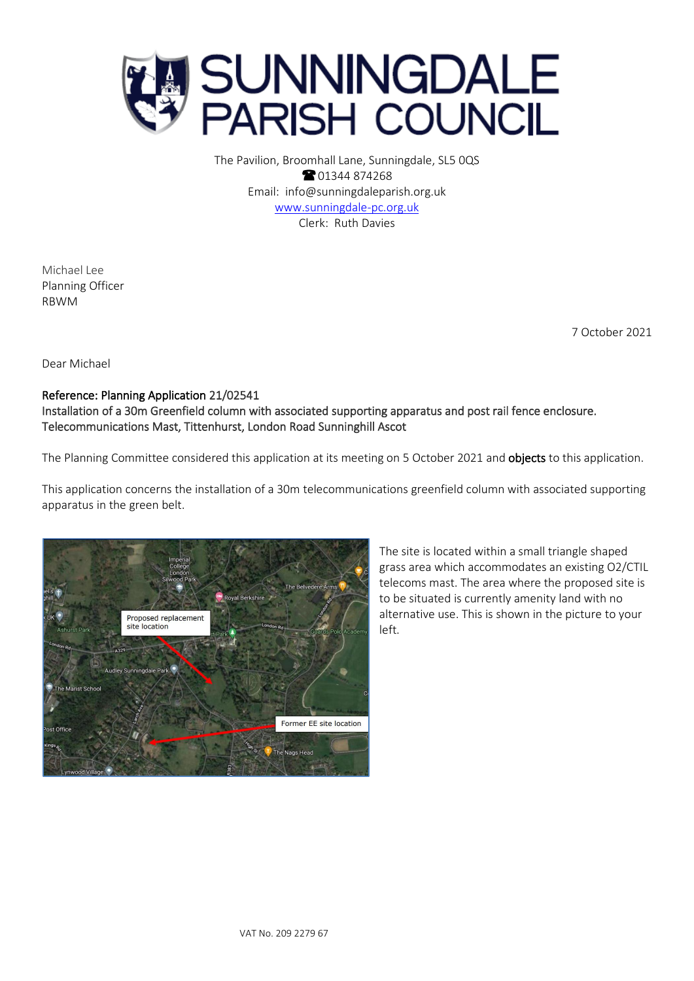

The Pavilion, Broomhall Lane, Sunningdale, SL5 0QS **8** 01344 874268 Email: info@sunningdaleparish.org.uk [www.sunningdale-pc.org.uk](http://www.sunningdale-pc.org.uk/) Clerk: Ruth Davies

Michael Lee Planning Officer RBWM

7 October 2021

Dear Michael

## Reference: Planning Application 21/02541 Installation of a 30m Greenfield column with associated supporting apparatus and post rail fence enclosure. Telecommunications Mast, Tittenhurst, London Road Sunninghill Ascot

The Planning Committee considered this application at its meeting on 5 October 2021 and **objects** to this application.

This application concerns the installation of a 30m telecommunications greenfield column with associated supporting apparatus in the green belt.



The site is located within a small triangle shaped grass area which accommodates an existing O2/CTIL telecoms mast. The area where the proposed site is to be situated is currently amenity land with no alternative use. This is shown in the picture to your left.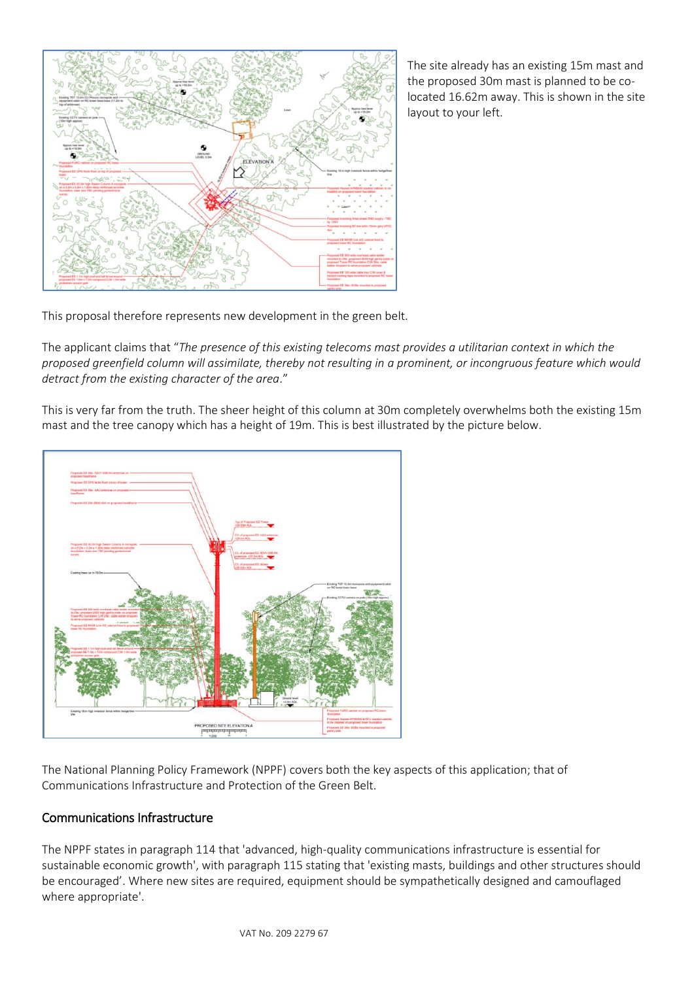

The site already has an existing 15m mast and the proposed 30m mast is planned to be colocated 16.62m away. This is shown in the site layout to your left.

This proposal therefore represents new development in the green belt.

The applicant claims that "*The presence of this existing telecoms mast provides a utilitarian context in which the proposed greenfield column will assimilate, thereby not resulting in a prominent, or incongruous feature which would detract from the existing character of the area*."

This is very far from the truth. The sheer height of this column at 30m completely overwhelms both the existing 15m mast and the tree canopy which has a height of 19m. This is best illustrated by the picture below.



The National Planning Policy Framework (NPPF) covers both the key aspects of this application; that of Communications Infrastructure and Protection of the Green Belt.

## Communications Infrastructure

The NPPF states in paragraph 114 that 'advanced, high-quality communications infrastructure is essential for sustainable economic growth', with paragraph 115 stating that 'existing masts, buildings and other structures should be encouraged'. Where new sites are required, equipment should be sympathetically designed and camouflaged where appropriate'.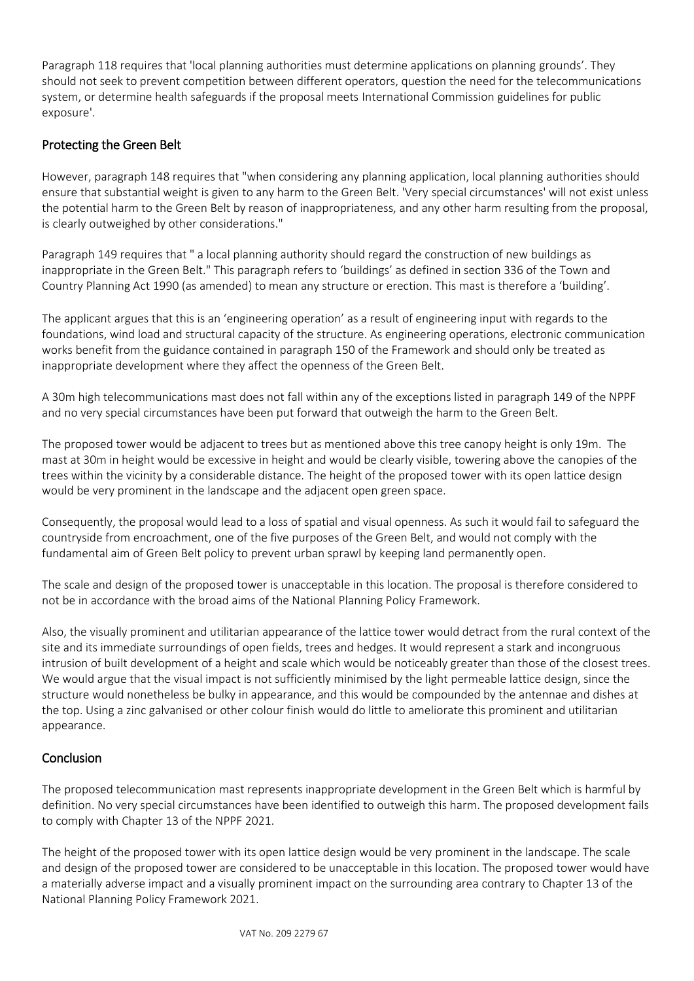Paragraph 118 requires that 'local planning authorities must determine applications on planning grounds'. They should not seek to prevent competition between different operators, question the need for the telecommunications system, or determine health safeguards if the proposal meets International Commission guidelines for public exposure'.

## Protecting the Green Belt

However, paragraph 148 requires that "when considering any planning application, local planning authorities should ensure that substantial weight is given to any harm to the Green Belt. 'Very special circumstances' will not exist unless the potential harm to the Green Belt by reason of inappropriateness, and any other harm resulting from the proposal, is clearly outweighed by other considerations."

Paragraph 149 requires that " a local planning authority should regard the construction of new buildings as inappropriate in the Green Belt." This paragraph refers to 'buildings' as defined in section 336 of the Town and Country Planning Act 1990 (as amended) to mean any structure or erection. This mast is therefore a 'building'.

The applicant argues that this is an 'engineering operation' as a result of engineering input with regards to the foundations, wind load and structural capacity of the structure. As engineering operations, electronic communication works benefit from the guidance contained in paragraph 150 of the Framework and should only be treated as inappropriate development where they affect the openness of the Green Belt.

A 30m high telecommunications mast does not fall within any of the exceptions listed in paragraph 149 of the NPPF and no very special circumstances have been put forward that outweigh the harm to the Green Belt.

The proposed tower would be adjacent to trees but as mentioned above this tree canopy height is only 19m. The mast at 30m in height would be excessive in height and would be clearly visible, towering above the canopies of the trees within the vicinity by a considerable distance. The height of the proposed tower with its open lattice design would be very prominent in the landscape and the adjacent open green space.

Consequently, the proposal would lead to a loss of spatial and visual openness. As such it would fail to safeguard the countryside from encroachment, one of the five purposes of the Green Belt, and would not comply with the fundamental aim of Green Belt policy to prevent urban sprawl by keeping land permanently open.

The scale and design of the proposed tower is unacceptable in this location. The proposal is therefore considered to not be in accordance with the broad aims of the National Planning Policy Framework.

Also, the visually prominent and utilitarian appearance of the lattice tower would detract from the rural context of the site and its immediate surroundings of open fields, trees and hedges. It would represent a stark and incongruous intrusion of built development of a height and scale which would be noticeably greater than those of the closest trees. We would argue that the visual impact is not sufficiently minimised by the light permeable lattice design, since the structure would nonetheless be bulky in appearance, and this would be compounded by the antennae and dishes at the top. Using a zinc galvanised or other colour finish would do little to ameliorate this prominent and utilitarian appearance.

## **Conclusion**

The proposed telecommunication mast represents inappropriate development in the Green Belt which is harmful by definition. No very special circumstances have been identified to outweigh this harm. The proposed development fails to comply with Chapter 13 of the NPPF 2021.

The height of the proposed tower with its open lattice design would be very prominent in the landscape. The scale and design of the proposed tower are considered to be unacceptable in this location. The proposed tower would have a materially adverse impact and a visually prominent impact on the surrounding area contrary to Chapter 13 of the National Planning Policy Framework 2021.